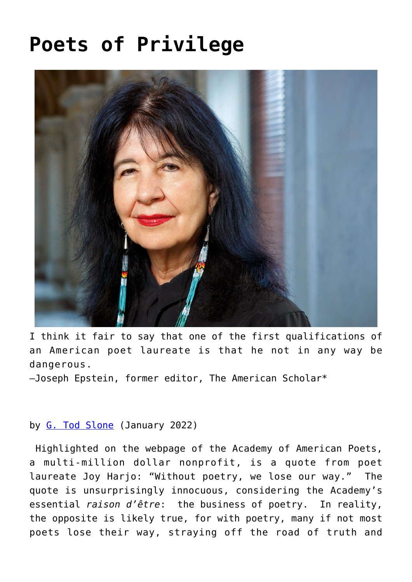## **[Poets of Privilege](https://www.newenglishreview.org/articles/poets-of-privilege/)**



I think it fair to say that one of the first qualifications of an American poet laureate is that he not in any way be dangerous.

—Joseph Epstein, former editor, The American Scholar\*

## by [G. Tod Slone](https://www.newenglishreview.org/authors/g-tod-slone/?) (January 2022)

Highlighted on the webpage of the Academy of American Poets, a multi-million dollar nonprofit, is a quote from poet laureate Joy Harjo: "Without poetry, we lose our way." The quote is unsurprisingly innocuous, considering the Academy's essential *raison d'être*: the business of poetry. In reality, the opposite is likely true, for with poetry, many if not most poets lose their way, straying off the road of truth and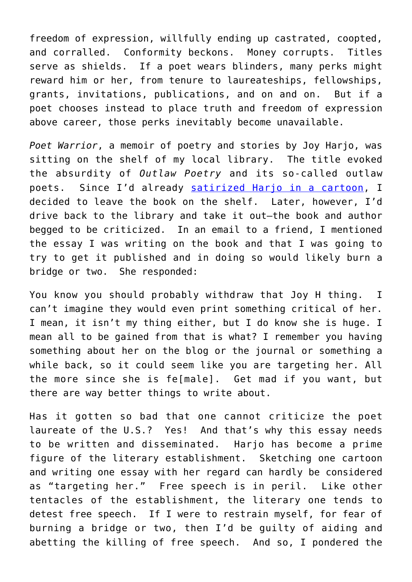freedom of expression, willfully ending up castrated, coopted, and corralled. Conformity beckons. Money corrupts. Titles serve as shields. If a poet wears blinders, many perks might reward him or her, from tenure to laureateships, fellowships, grants, invitations, publications, and on and on. But if a poet chooses instead to place truth and freedom of expression above career, those perks inevitably become unavailable.

*Poet Warrior*, a memoir of poetry and stories by Joy Harjo, was sitting on the shelf of my local library. The title evoked the absurdity of *Outlaw Poetry* and its so-called outlaw poets. Since I'd already [satirized Harjo in a cartoon,](https://wwwtheamericandissidentorg.blogspot.com/2020/03/joy-harjo.html) I decided to leave the book on the shelf. Later, however, I'd drive back to the library and take it out—the book and author begged to be criticized. In an email to a friend, I mentioned the essay I was writing on the book and that I was going to try to get it published and in doing so would likely burn a bridge or two. She responded:

You know you should probably withdraw that Joy H thing. I can't imagine they would even print something critical of her. I mean, it isn't my thing either, but I do know she is huge. I mean all to be gained from that is what? I remember you having something about her on the blog or the journal or something a while back, so it could seem like you are targeting her. All the more since she is fe[male]. Get mad if you want, but there are way better things to write about.

Has it gotten so bad that one cannot criticize the poet laureate of the U.S.? Yes! And that's why this essay needs to be written and disseminated. Harjo has become a prime figure of the literary establishment. Sketching one cartoon and writing one essay with her regard can hardly be considered as "targeting her." Free speech is in peril. Like other tentacles of the establishment, the literary one tends to detest free speech. If I were to restrain myself, for fear of burning a bridge or two, then I'd be guilty of aiding and abetting the killing of free speech. And so, I pondered the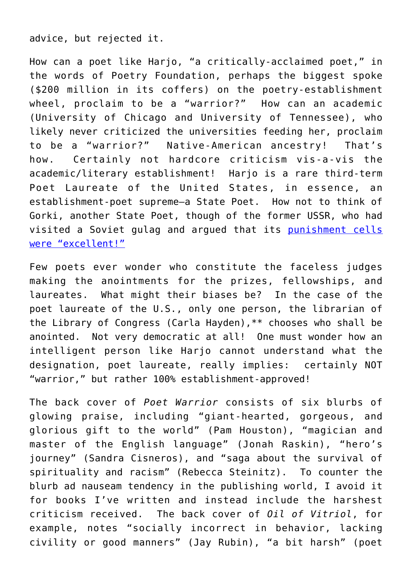advice, but rejected it.

How can a poet like Harjo, "a critically-acclaimed poet," in the words of Poetry Foundation, perhaps the biggest spoke (\$200 million in its coffers) on the poetry-establishment wheel, proclaim to be a "warrior?" How can an academic (University of Chicago and University of Tennessee), who likely never criticized the universities feeding her, proclaim to be a "warrior?" Native-American ancestry! That's how. Certainly not hardcore criticism vis-a-vis the academic/literary establishment! Harjo is a rare third-term Poet Laureate of the United States, in essence, an establishment-poet supreme—a State Poet. How not to think of Gorki, another State Poet, though of the former USSR, who had visited a Soviet gulag and argued that its [punishment cells](https://www.newyorker.com/magazine/2003/04/14/seasons-in-hell-4) [were "excellent!"](https://www.newyorker.com/magazine/2003/04/14/seasons-in-hell-4)

Few poets ever wonder who constitute the faceless judges making the anointments for the prizes, fellowships, and laureates. What might their biases be? In the case of the poet laureate of the U.S., only one person, the librarian of the Library of Congress (Carla Hayden),\*\* chooses who shall be anointed. Not very democratic at all! One must wonder how an intelligent person like Harjo cannot understand what the designation, poet laureate, really implies: certainly NOT "warrior," but rather 100% establishment-approved!

The back cover of *Poet Warrior* consists of six blurbs of glowing praise, including "giant-hearted, gorgeous, and glorious gift to the world" (Pam Houston), "magician and master of the English language" (Jonah Raskin), "hero's journey" (Sandra Cisneros), and "saga about the survival of spirituality and racism" (Rebecca Steinitz). To counter the blurb ad nauseam tendency in the publishing world, I avoid it for books I've written and instead include the harshest criticism received. The back cover of *Oil of Vitriol*, for example, notes "socially incorrect in behavior, lacking civility or good manners" (Jay Rubin), "a bit harsh" (poet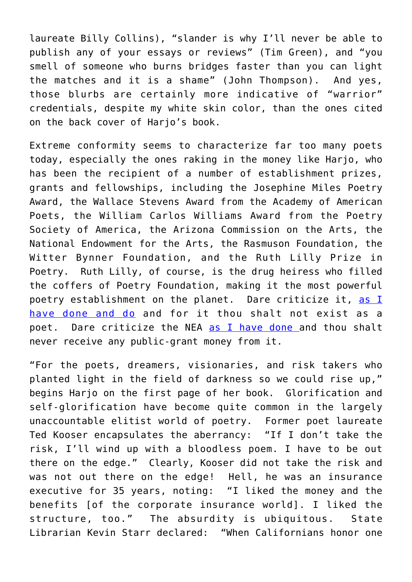laureate Billy Collins), "slander is why I'll never be able to publish any of your essays or reviews" (Tim Green), and "you smell of someone who burns bridges faster than you can light the matches and it is a shame" (John Thompson). And yes, those blurbs are certainly more indicative of "warrior" credentials, despite my white skin color, than the ones cited on the back cover of Harjo's book.

Extreme conformity seems to characterize far too many poets today, especially the ones raking in the money like Harjo, who has been the recipient of a number of establishment prizes, grants and fellowships, including the Josephine Miles Poetry Award, the Wallace Stevens Award from the Academy of American Poets, the William Carlos Williams Award from the Poetry Society of America, the Arizona Commission on the Arts, the National Endowment for the Arts, the Rasmuson Foundation, the Witter Bynner Foundation, and the Ruth Lilly Prize in Poetry. Ruth Lilly, of course, is the drug heiress who filled the coffers of Poetry Foundation, making it the most powerful poetry establishment on the planet. Dare criticize it, [as I](http://http//theamericandissident.org/orgs/national_endowment_for_the_arts.html) [have done and do](http://http//theamericandissident.org/orgs/national_endowment_for_the_arts.html) and for it thou shalt not exist as a poet. Dare criticize the NEA [as I have done a](http://theamericandissident.org/orgs/national_endowment_for_the_arts.html)nd thou shalt never receive any public-grant money from it.

"For the poets, dreamers, visionaries, and risk takers who planted light in the field of darkness so we could rise up," begins Harjo on the first page of her book. Glorification and self-glorification have become quite common in the largely unaccountable elitist world of poetry. Former poet laureate Ted Kooser encapsulates the aberrancy: "If I don't take the risk, I'll wind up with a bloodless poem. I have to be out there on the edge." Clearly, Kooser did not take the risk and was not out there on the edge! Hell, he was an insurance executive for 35 years, noting: "I liked the money and the benefits [of the corporate insurance world]. I liked the structure, too." The absurdity is ubiquitous. State Librarian Kevin Starr declared: "When Californians honor one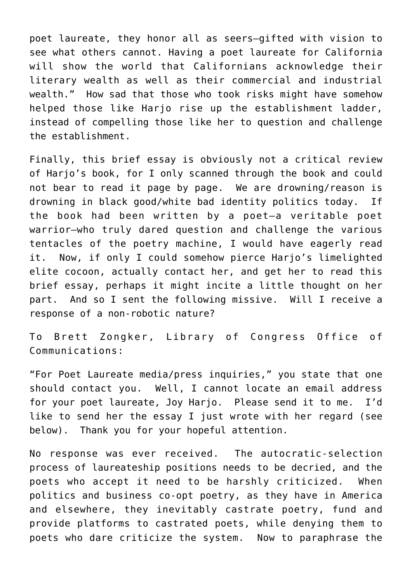poet laureate, they honor all as seers—gifted with vision to see what others cannot. Having a poet laureate for California will show the world that Californians acknowledge their literary wealth as well as their commercial and industrial wealth." How sad that those who took risks might have somehow helped those like Harjo rise up the establishment ladder, instead of compelling those like her to question and challenge the establishment.

Finally, this brief essay is obviously not a critical review of Harjo's book, for I only scanned through the book and could not bear to read it page by page. We are drowning/reason is drowning in black good/white bad identity politics today. If the book had been written by a poet—a veritable poet warrior—who truly dared question and challenge the various tentacles of the poetry machine, I would have eagerly read it. Now, if only I could somehow pierce Harjo's limelighted elite cocoon, actually contact her, and get her to read this brief essay, perhaps it might incite a little thought on her part. And so I sent the following missive. Will I receive a response of a non-robotic nature?

To Brett Zongker, Library of Congress Office of Communications:

"For Poet Laureate media/press inquiries," you state that one should contact you. Well, I cannot locate an email address for your poet laureate, Joy Harjo. Please send it to me. I'd like to send her the essay I just wrote with her regard (see below). Thank you for your hopeful attention.

No response was ever received. The autocratic-selection process of laureateship positions needs to be decried, and the poets who accept it need to be harshly criticized. When politics and business co-opt poetry, as they have in America and elsewhere, they inevitably castrate poetry, fund and provide platforms to castrated poets, while denying them to poets who dare criticize the system. Now to paraphrase the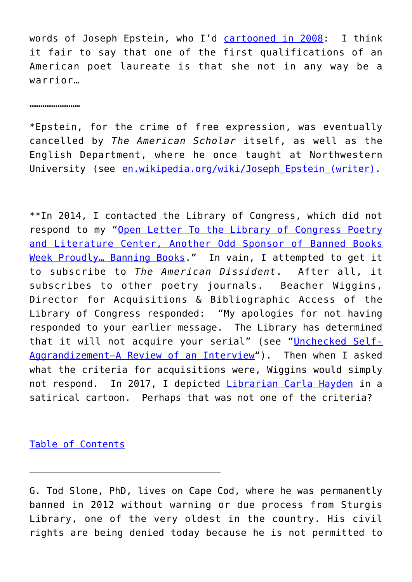words of Joseph Epstein, who I'd [cartooned in 2008](https://wwwtheamericandissidentorg.blogspot.com/search?q=Epstein): I think it fair to say that one of the first qualifications of an American poet laureate is that she not in any way be a warrior…

………………………

\*Epstein, for the crime of free expression, was eventually cancelled by *The American Scholar* itself, as well as the English Department, where he once taught at Northwestern University (see en.wikipedia.org/wiki/Joseph Epstein (writer).

\*\*In 2014, I contacted the Library of Congress, which did not respond to my ["Open Letter To the Library of Congress Poetry](https://wwwtheamericandissidentorg.blogspot.com/2017/01/the-following-open-letter-was-written.html) [and Literature Center, Another Odd Sponsor of Banned Books](https://wwwtheamericandissidentorg.blogspot.com/2017/01/the-following-open-letter-was-written.html) [Week Proudly… Banning Books.](https://wwwtheamericandissidentorg.blogspot.com/2017/01/the-following-open-letter-was-written.html)" In vain, I attempted to get it to subscribe to *The American Dissident*. After all, it subscribes to other poetry journals. Beacher Wiggins, Director for Acquisitions & Bibliographic Access of the Library of Congress responded: "My apologies for not having responded to your earlier message. The Library has determined that it will not acquire your serial" (see "[Unchecked Self-](https://wwwtheamericandissidentorg.blogspot.com/2021/11/carla-hayden.html)[Aggrandizement—A Review of an Interview](https://wwwtheamericandissidentorg.blogspot.com/2021/11/carla-hayden.html)"). Then when I asked what the criteria for acquisitions were, Wiggins would simply not respond. In 2017, I depicted [Librarian Carla Hayden](https://wwwtheamericandissidentorg.blogspot.com/2017/06/carla-hayden.html) in a satirical cartoon. Perhaps that was not one of the criteria?

[Table of Contents](https://www.newenglishreview.org/)

G. Tod Slone, PhD, lives on Cape Cod, where he was permanently banned in 2012 without warning or due process from Sturgis Library, one of the very oldest in the country. His civil rights are being denied today because he is not permitted to